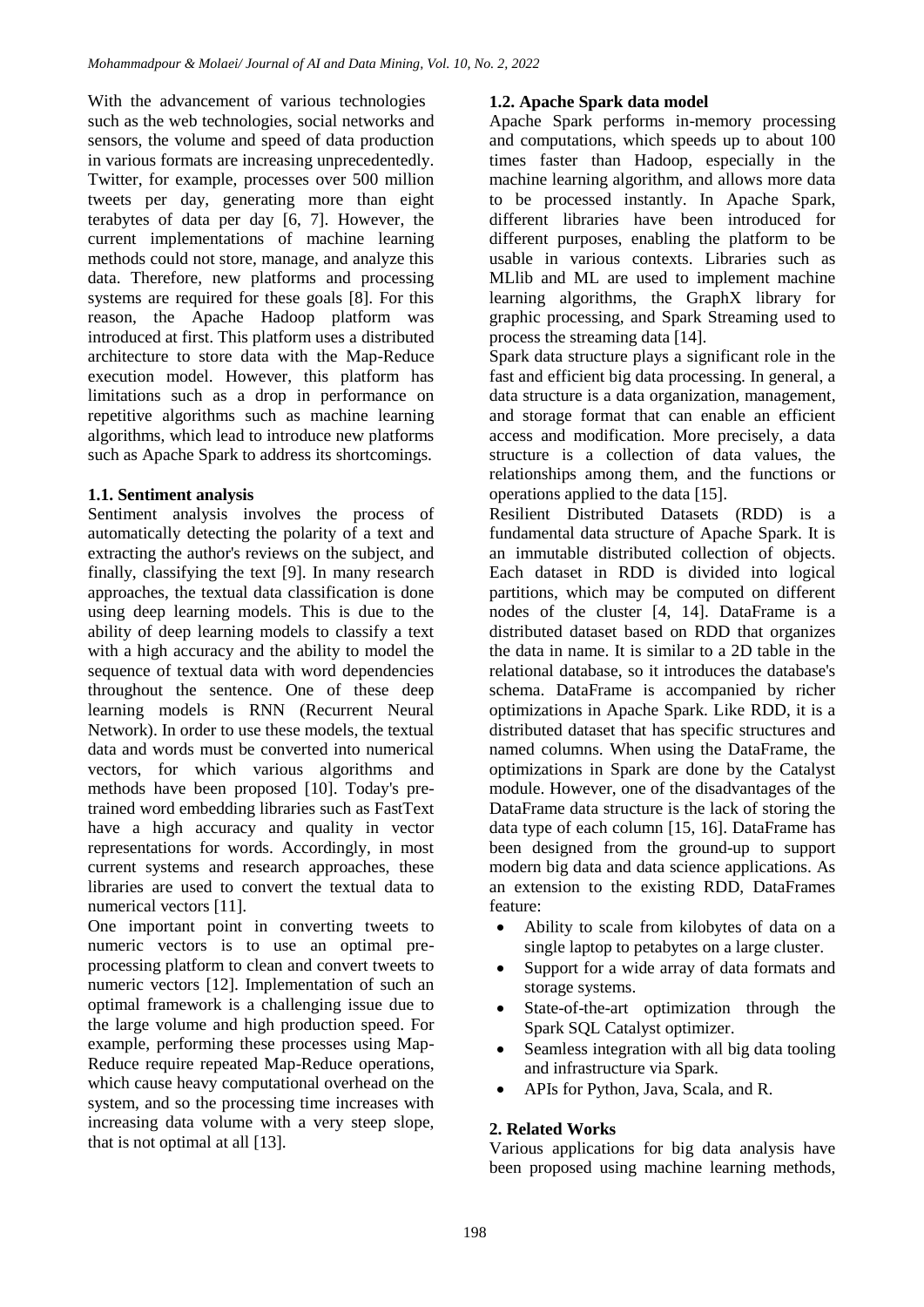With the advancement of various technologies such as the web technologies, social networks and sensors, the volume and speed of data production in various formats are increasing unprecedentedly. Twitter, for example, processes over 500 million tweets per day, generating more than eight terabytes of data per day [6, 7]. However, the current implementations of machine learning methods could not store, manage, and analyze this data. Therefore, new platforms and processing systems are required for these goals [8]. For this reason, the Apache Hadoop platform was introduced at first. This platform uses a distributed architecture to store data with the Map-Reduce execution model. However, this platform has limitations such as a drop in performance on repetitive algorithms such as machine learning algorithms, which lead to introduce new platforms such as Apache Spark to address its shortcomings.

## **1.1. Sentiment analysis**

Sentiment analysis involves the process of automatically detecting the polarity of a text and extracting the author's reviews on the subject, and finally, classifying the text [9]. In many research approaches, the textual data classification is done using deep learning models. This is due to the ability of deep learning models to classify a text with a high accuracy and the ability to model the sequence of textual data with word dependencies throughout the sentence. One of these deep learning models is RNN (Recurrent Neural Network). In order to use these models, the textual data and words must be converted into numerical vectors, for which various algorithms and methods have been proposed [10]. Today's pretrained word embedding libraries such as FastText have a high accuracy and quality in vector representations for words. Accordingly, in most current systems and research approaches, these libraries are used to convert the textual data to numerical vectors [11].

One important point in converting tweets to numeric vectors is to use an optimal preprocessing platform to clean and convert tweets to numeric vectors [12]. Implementation of such an optimal framework is a challenging issue due to the large volume and high production speed. For example, performing these processes using Map-Reduce require repeated Map-Reduce operations, which cause heavy computational overhead on the system, and so the processing time increases with increasing data volume with a very steep slope, that is not optimal at all [13].

## **1.2. Apache Spark data model**

Apache Spark performs in-memory processing and computations, which speeds up to about 100 times faster than Hadoop, especially in the machine learning algorithm, and allows more data to be processed instantly. In Apache Spark, different libraries have been introduced for different purposes, enabling the platform to be usable in various contexts. Libraries such as MLlib and ML are used to implement machine learning algorithms, the GraphX library for graphic processing, and Spark Streaming used to process the streaming data [14].

Spark data structure plays a significant role in the fast and efficient big data processing. In general, a data structure is a data organization, management, and storage format that can enable an efficient access and modification. More precisely, a data structure is a collection of data values, the relationships among them, and the functions or operations applied to the data [15].

Resilient Distributed Datasets (RDD) is a fundamental data structure of Apache Spark. It is an immutable distributed collection of objects. Each dataset in RDD is divided into logical partitions, which may be computed on different nodes of the cluster [4, 14]. DataFrame is a distributed dataset based on RDD that organizes the data in name. It is similar to a 2D table in the relational database, so it introduces the database's schema. DataFrame is accompanied by richer optimizations in Apache Spark. Like RDD, it is a distributed dataset that has specific structures and named columns. When using the DataFrame, the optimizations in Spark are done by the Catalyst module. However, one of the disadvantages of the DataFrame data structure is the lack of storing the data type of each column [15, 16]. DataFrame has been designed from the ground-up to support modern big data and data science applications. As an extension to the existing RDD, DataFrames feature:

- Ability to scale from kilobytes of data on a single laptop to petabytes on a large cluster.
- Support for a wide array of data formats and storage systems.
- State-of-the-art optimization through the Spark SQL Catalyst optimizer.
- Seamless integration with all big data tooling and infrastructure via Spark.
- APIs for Python, Java, Scala, and R.

## **2. Related Works**

Various applications for big data analysis have been proposed using machine learning methods,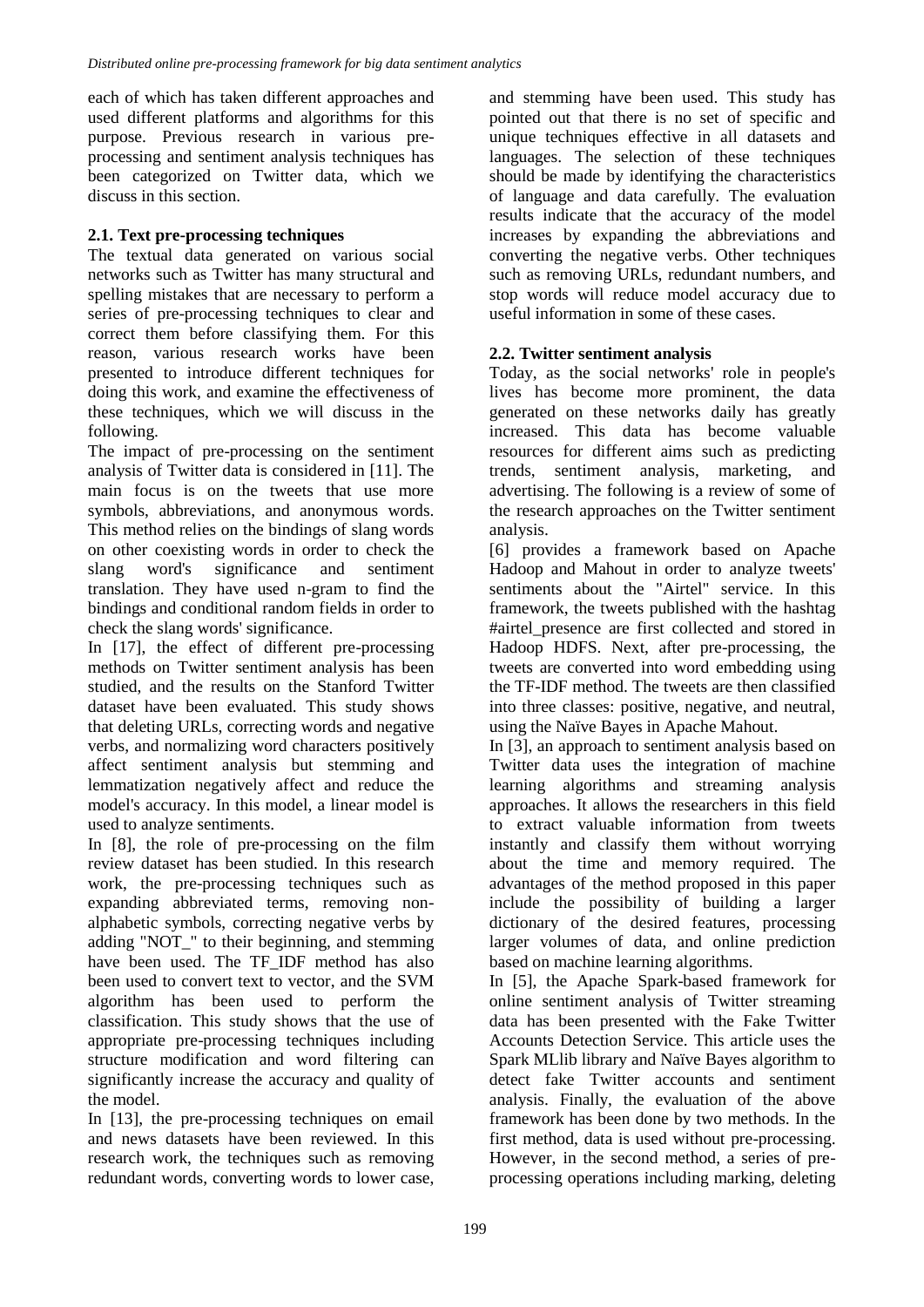each of which has taken different approaches and used different platforms and algorithms for this purpose. Previous research in various preprocessing and sentiment analysis techniques has been categorized on Twitter data, which we discuss in this section.

# **2.1. Text pre-processing techniques**

The textual data generated on various social networks such as Twitter has many structural and spelling mistakes that are necessary to perform a series of pre-processing techniques to clear and correct them before classifying them. For this reason, various research works have been presented to introduce different techniques for doing this work, and examine the effectiveness of these techniques, which we will discuss in the following.

The impact of pre-processing on the sentiment analysis of Twitter data is considered in [11]. The main focus is on the tweets that use more symbols, abbreviations, and anonymous words. This method relies on the bindings of slang words on other coexisting words in order to check the slang word's significance and sentiment translation. They have used n-gram to find the bindings and conditional random fields in order to check the slang words' significance.

In [17], the effect of different pre-processing methods on Twitter sentiment analysis has been studied, and the results on the Stanford Twitter dataset have been evaluated. This study shows that deleting URLs, correcting words and negative verbs, and normalizing word characters positively affect sentiment analysis but stemming and lemmatization negatively affect and reduce the model's accuracy. In this model, a linear model is used to analyze sentiments.

In [8], the role of pre-processing on the film review dataset has been studied. In this research work, the pre-processing techniques such as expanding abbreviated terms, removing nonalphabetic symbols, correcting negative verbs by adding "NOT\_" to their beginning, and stemming have been used. The TF\_IDF method has also been used to convert text to vector, and the SVM algorithm has been used to perform the classification. This study shows that the use of appropriate pre-processing techniques including structure modification and word filtering can significantly increase the accuracy and quality of the model.

In [13], the pre-processing techniques on email and news datasets have been reviewed. In this research work, the techniques such as removing redundant words, converting words to lower case, and stemming have been used. This study has pointed out that there is no set of specific and unique techniques effective in all datasets and languages. The selection of these techniques should be made by identifying the characteristics of language and data carefully. The evaluation results indicate that the accuracy of the model increases by expanding the abbreviations and converting the negative verbs. Other techniques such as removing URLs, redundant numbers, and stop words will reduce model accuracy due to useful information in some of these cases.

# **2.2. Twitter sentiment analysis**

Today, as the social networks' role in people's lives has become more prominent, the data generated on these networks daily has greatly increased. This data has become valuable resources for different aims such as predicting trends, sentiment analysis, marketing, and advertising. The following is a review of some of the research approaches on the Twitter sentiment analysis.

[6] provides a framework based on Apache Hadoop and Mahout in order to analyze tweets' sentiments about the "Airtel" service. In this framework, the tweets published with the hashtag #airtel\_presence are first collected and stored in Hadoop HDFS. Next, after pre-processing, the tweets are converted into word embedding using the TF-IDF method. The tweets are then classified into three classes: positive, negative, and neutral, using the Naïve Bayes in Apache Mahout.

In [3], an approach to sentiment analysis based on Twitter data uses the integration of machine learning algorithms and streaming analysis approaches. It allows the researchers in this field to extract valuable information from tweets instantly and classify them without worrying about the time and memory required. The advantages of the method proposed in this paper include the possibility of building a larger dictionary of the desired features, processing larger volumes of data, and online prediction based on machine learning algorithms.

In [5], the Apache Spark-based framework for online sentiment analysis of Twitter streaming data has been presented with the Fake Twitter Accounts Detection Service. This article uses the Spark MLlib library and Naïve Bayes algorithm to detect fake Twitter accounts and sentiment analysis. Finally, the evaluation of the above framework has been done by two methods. In the first method, data is used without pre-processing. However, in the second method, a series of preprocessing operations including marking, deleting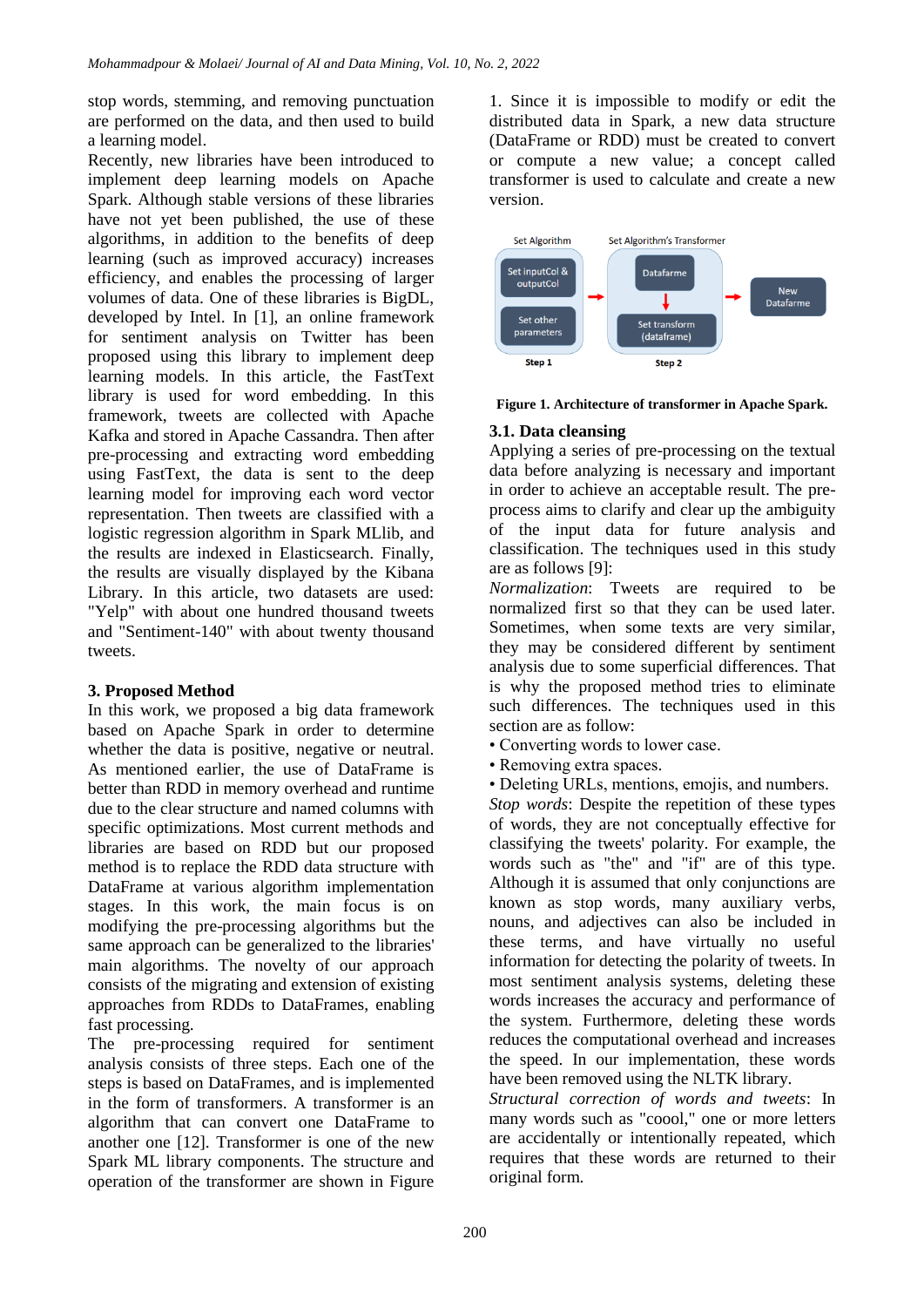stop words, stemming, and removing punctuation are performed on the data, and then used to build a learning model.

Recently, new libraries have been introduced to implement deep learning models on Apache Spark. Although stable versions of these libraries have not yet been published, the use of these algorithms, in addition to the benefits of deep learning (such as improved accuracy) increases efficiency, and enables the processing of larger volumes of data. One of these libraries is BigDL, developed by Intel. In [1], an online framework for sentiment analysis on Twitter has been proposed using this library to implement deep learning models. In this article, the FastText library is used for word embedding. In this framework, tweets are collected with Apache Kafka and stored in Apache Cassandra. Then after pre-processing and extracting word embedding using FastText, the data is sent to the deep learning model for improving each word vector representation. Then tweets are classified with a logistic regression algorithm in Spark MLlib, and the results are indexed in Elasticsearch. Finally, the results are visually displayed by the Kibana Library. In this article, two datasets are used: "Yelp" with about one hundred thousand tweets and "Sentiment-140" with about twenty thousand tweets.

## **3. Proposed Method**

In this work, we proposed a big data framework based on Apache Spark in order to determine whether the data is positive, negative or neutral. As mentioned earlier, the use of DataFrame is better than RDD in memory overhead and runtime due to the clear structure and named columns with specific optimizations. Most current methods and libraries are based on RDD but our proposed method is to replace the RDD data structure with DataFrame at various algorithm implementation stages. In this work, the main focus is on modifying the pre-processing algorithms but the same approach can be generalized to the libraries' main algorithms. The novelty of our approach consists of the migrating and extension of existing approaches from RDDs to DataFrames, enabling fast processing.

The pre-processing required for sentiment analysis consists of three steps. Each one of the steps is based on DataFrames, and is implemented in the form of transformers. A transformer is an algorithm that can convert one DataFrame to another one [12]. Transformer is one of the new Spark ML library components. The structure and operation of the transformer are shown in Figure 1. Since it is impossible to modify or edit the distributed data in Spark, a new data structure (DataFrame or RDD) must be created to convert or compute a new value; a concept called transformer is used to calculate and create a new version.



**Figure 1. Architecture of transformer in Apache Spark.**

## **3.1. Data cleansing**

Applying a series of pre-processing on the textual data before analyzing is necessary and important in order to achieve an acceptable result. The preprocess aims to clarify and clear up the ambiguity of the input data for future analysis and classification. The techniques used in this study are as follows [9]:

*Normalization*: Tweets are required to be normalized first so that they can be used later. Sometimes, when some texts are very similar, they may be considered different by sentiment analysis due to some superficial differences. That is why the proposed method tries to eliminate such differences. The techniques used in this section are as follow:

- Converting words to lower case.
- Removing extra spaces.
- Deleting URLs, mentions, emojis, and numbers.

*Stop words*: Despite the repetition of these types of words, they are not conceptually effective for classifying the tweets' polarity. For example, the words such as "the" and "if" are of this type. Although it is assumed that only conjunctions are known as stop words, many auxiliary verbs, nouns, and adjectives can also be included in these terms, and have virtually no useful information for detecting the polarity of tweets. In most sentiment analysis systems, deleting these words increases the accuracy and performance of the system. Furthermore, deleting these words reduces the computational overhead and increases the speed. In our implementation, these words have been removed using the NLTK library.

*Structural correction of words and tweets*: In many words such as "coool," one or more letters are accidentally or intentionally repeated, which requires that these words are returned to their original form.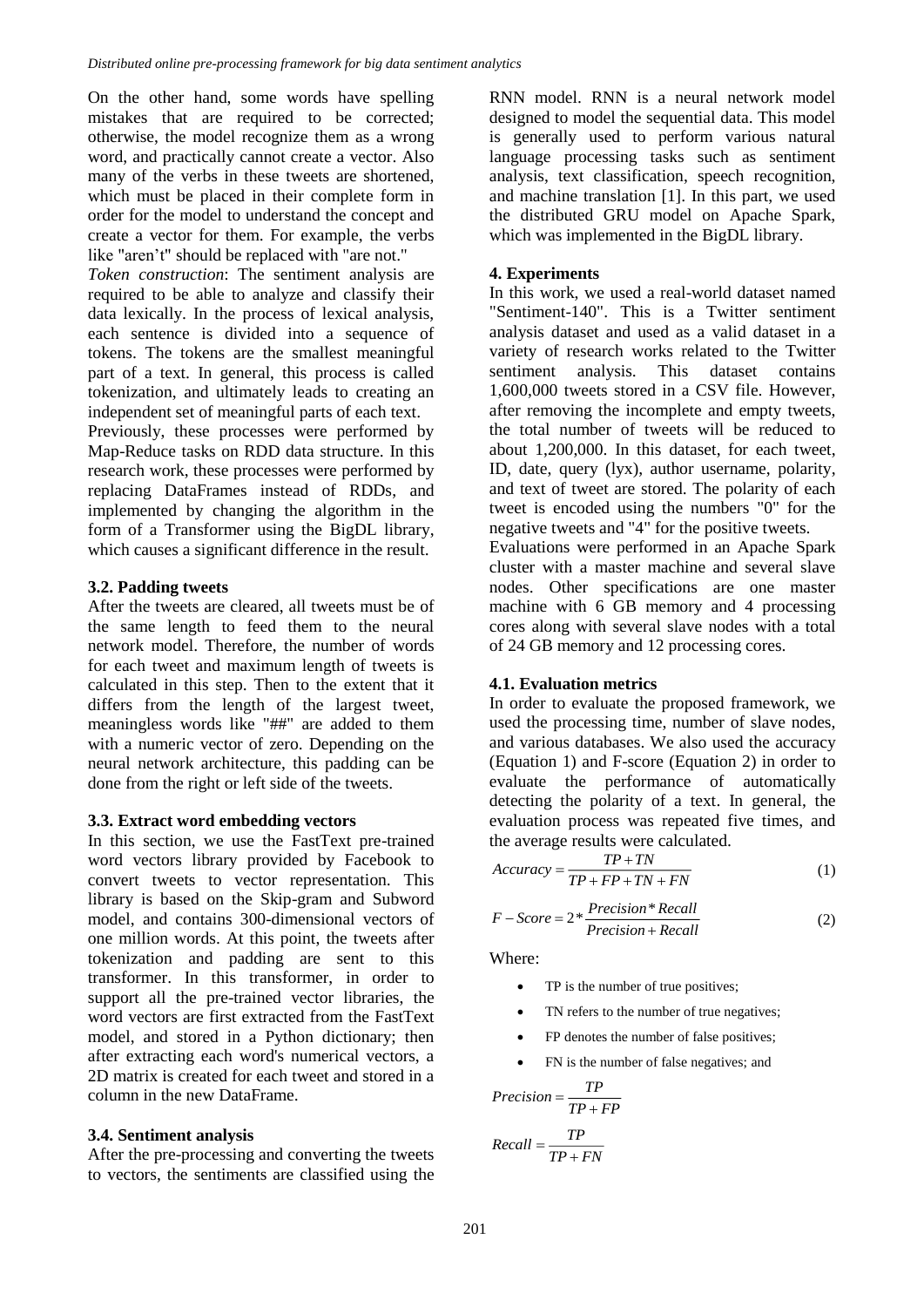On the other hand, some words have spelling mistakes that are required to be corrected; otherwise, the model recognize them as a wrong word, and practically cannot create a vector. Also many of the verbs in these tweets are shortened, which must be placed in their complete form in order for the model to understand the concept and create a vector for them. For example, the verbs like "aren't" should be replaced with "are not."

*Token construction*: The sentiment analysis are required to be able to analyze and classify their data lexically. In the process of lexical analysis, each sentence is divided into a sequence of tokens. The tokens are the smallest meaningful part of a text. In general, this process is called tokenization, and ultimately leads to creating an independent set of meaningful parts of each text.

Previously, these processes were performed by Map-Reduce tasks on RDD data structure. In this research work, these processes were performed by replacing DataFrames instead of RDDs, and implemented by changing the algorithm in the form of a Transformer using the BigDL library, which causes a significant difference in the result.

## **3.2. Padding tweets**

After the tweets are cleared, all tweets must be of the same length to feed them to the neural network model. Therefore, the number of words for each tweet and maximum length of tweets is calculated in this step. Then to the extent that it differs from the length of the largest tweet, meaningless words like "##" are added to them with a numeric vector of zero. Depending on the neural network architecture, this padding can be done from the right or left side of the tweets.

#### **3.3. Extract word embedding vectors**

In this section, we use the FastText pre-trained word vectors library provided by Facebook to convert tweets to vector representation. This library is based on the Skip-gram and Subword model, and contains 300-dimensional vectors of one million words. At this point, the tweets after tokenization and padding are sent to this transformer. In this transformer, in order to support all the pre-trained vector libraries, the word vectors are first extracted from the FastText model, and stored in a Python dictionary; then after extracting each word's numerical vectors, a 2D matrix is created for each tweet and stored in a column in the new DataFrame.

#### **3.4. Sentiment analysis**

After the pre-processing and converting the tweets to vectors, the sentiments are classified using the RNN model. RNN is a neural network model designed to model the sequential data. This model is generally used to perform various natural language processing tasks such as sentiment analysis, text classification, speech recognition, and machine translation [1]. In this part, we used the distributed GRU model on Apache Spark, which was implemented in the BigDL library.

#### **4. Experiments**

In this work, we used a real-world dataset named "Sentiment-140". This is a Twitter sentiment analysis dataset and used as a valid dataset in a variety of research works related to the Twitter sentiment analysis. This dataset contains 1,600,000 tweets stored in a CSV file. However, after removing the incomplete and empty tweets, the total number of tweets will be reduced to about 1,200,000. In this dataset, for each tweet, ID, date, query (lyx), author username, polarity, and text of tweet are stored. The polarity of each tweet is encoded using the numbers "0" for the negative tweets and "4" for the positive tweets.

Evaluations were performed in an Apache Spark cluster with a master machine and several slave nodes. Other specifications are one master machine with 6 GB memory and 4 processing cores along with several slave nodes with a total of 24 GB memory and 12 processing cores.

#### **4.1. Evaluation metrics**

In order to evaluate the proposed framework, we used the processing time, number of slave nodes, and various databases. We also used the accuracy (Equation 1) and F-score (Equation 2) in order to evaluate the performance of automatically detecting the polarity of a text. In general, the evaluation process was repeated five times, and the average results were calculated.

$$
Accuracy = \frac{TP + TN}{TP + FP + TN + FN}
$$
 (1)

$$
F-Score = 2 * \frac{Precision * Recall}{Precision + Recall}
$$
 (2)

Where:

- TP is the number of true positives;
- TN refers to the number of true negatives;
- FP denotes the number of false positives;
- FN is the number of false negatives; and

$$
Precision = \frac{TP}{TP + FP}
$$

$$
Recall = \frac{TP}{TP + FN}
$$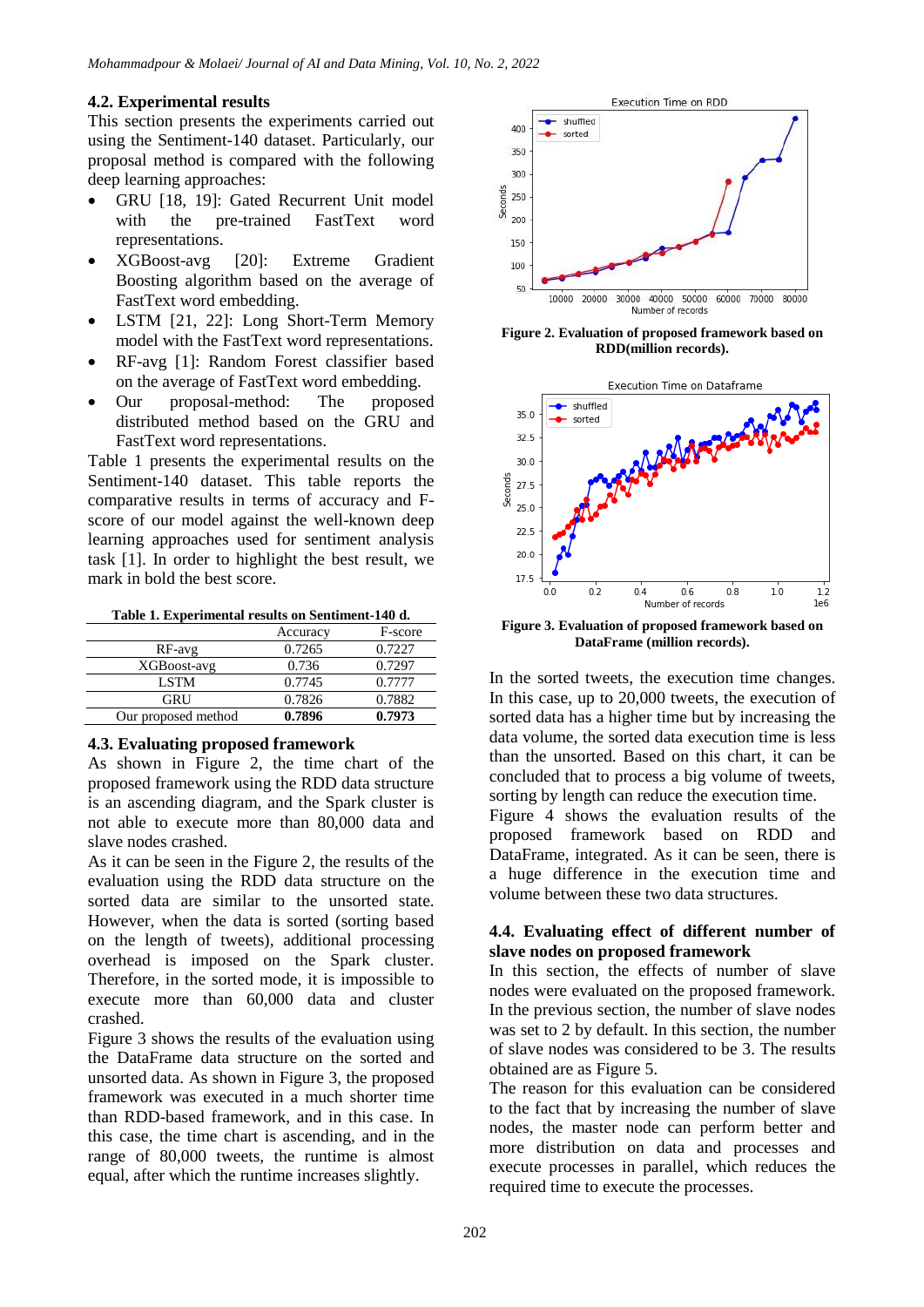## **4.2. Experimental results**

This section presents the experiments carried out using the Sentiment-140 dataset. Particularly, our proposal method is compared with the following deep learning approaches:

- GRU [18, 19]: Gated Recurrent Unit model with the pre-trained FastText word representations.
- XGBoost-avg [20]: Extreme Gradient Boosting algorithm based on the average of FastText word embedding.
- LSTM [21, 22]: Long Short-Term Memory model with the FastText word representations.
- RF-avg [1]: Random Forest classifier based on the average of FastText word embedding.
- Our proposal-method: The proposed distributed method based on the GRU and FastText word representations.

Table 1 presents the experimental results on the Sentiment-140 dataset. This table reports the comparative results in terms of accuracy and Fscore of our model against the well-known deep learning approaches used for sentiment analysis task [1]. In order to highlight the best result, we mark in bold the best score.

**Table 1. Experimental results on Sentiment-140 d.**

|                     | Accuracy | F-score |
|---------------------|----------|---------|
| RF-avg              | 0.7265   | 0.7227  |
| XGBoost-avg         | 0.736    | 0.7297  |
| <b>LSTM</b>         | 0.7745   | 0.7777  |
| GRU                 | 0.7826   | 0.7882  |
| Our proposed method | 0.7896   | 0.7973  |

#### **4.3. Evaluating proposed framework**

As shown in Figure 2, the time chart of the proposed framework using the RDD data structure is an ascending diagram, and the Spark cluster is not able to execute more than 80,000 data and slave nodes crashed.

As it can be seen in the Figure 2, the results of the evaluation using the RDD data structure on the sorted data are similar to the unsorted state. However, when the data is sorted (sorting based on the length of tweets), additional processing overhead is imposed on the Spark cluster. Therefore, in the sorted mode, it is impossible to execute more than 60,000 data and cluster crashed.

Figure 3 shows the results of the evaluation using the DataFrame data structure on the sorted and unsorted data. As shown in Figure 3, the proposed framework was executed in a much shorter time than RDD-based framework, and in this case. In this case, the time chart is ascending, and in the range of 80,000 tweets, the runtime is almost equal, after which the runtime increases slightly.



**Figure 2. Evaluation of proposed framework based on RDD(million records).**



**Figure 3. Evaluation of proposed framework based on DataFrame (million records).**

In the sorted tweets, the execution time changes. In this case, up to 20,000 tweets, the execution of sorted data has a higher time but by increasing the data volume, the sorted data execution time is less than the unsorted. Based on this chart, it can be concluded that to process a big volume of tweets, sorting by length can reduce the execution time.

Figure 4 shows the evaluation results of the proposed framework based on RDD and DataFrame, integrated. As it can be seen, there is a huge difference in the execution time and volume between these two data structures.

#### **4.4. Evaluating effect of different number of slave nodes on proposed framework**

In this section, the effects of number of slave nodes were evaluated on the proposed framework. In the previous section, the number of slave nodes was set to 2 by default. In this section, the number of slave nodes was considered to be 3. The results obtained are as Figure 5.

The reason for this evaluation can be considered to the fact that by increasing the number of slave nodes, the master node can perform better and more distribution on data and processes and execute processes in parallel, which reduces the required time to execute the processes.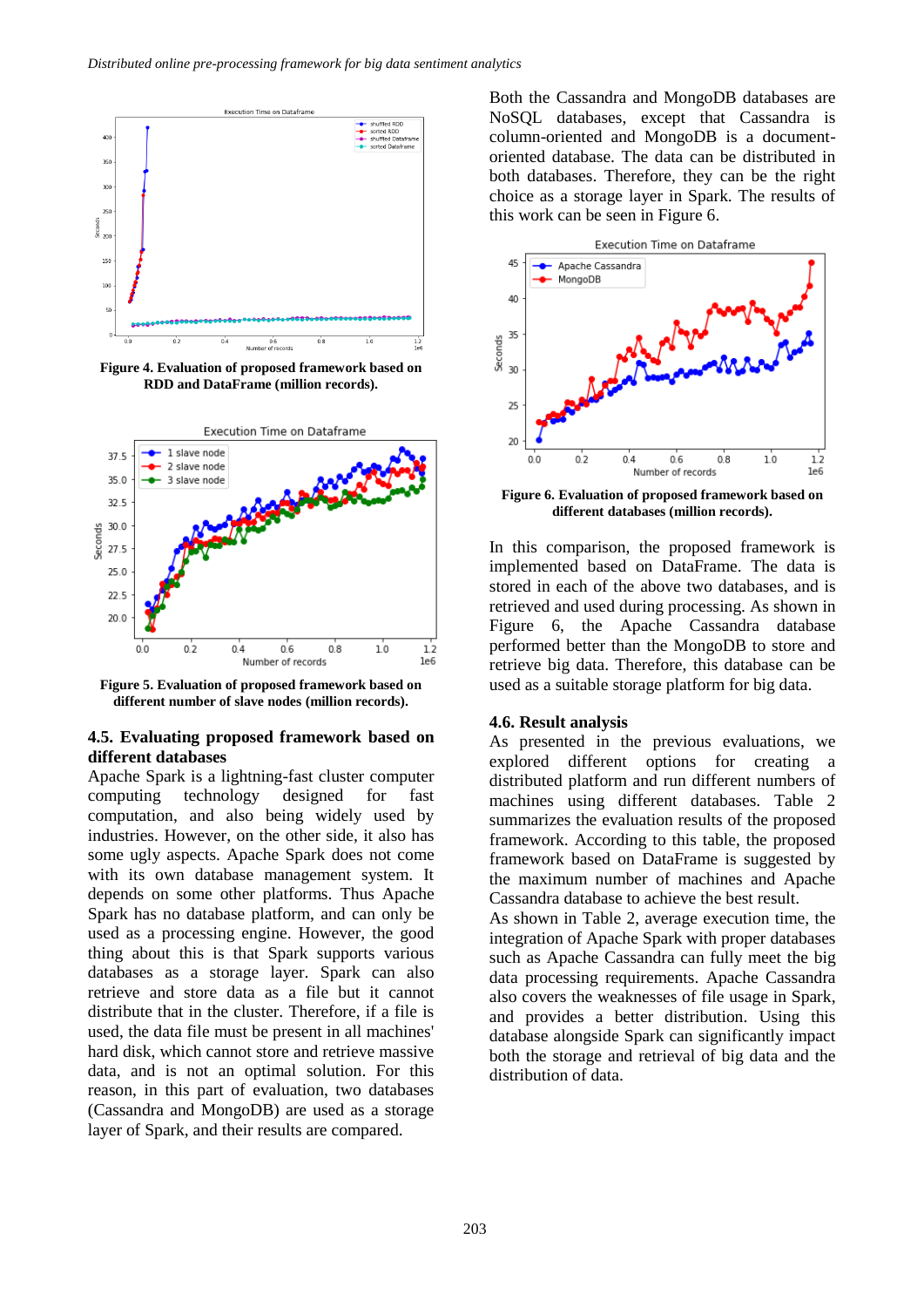

**Figure 4. Evaluation of proposed framework based on RDD and DataFrame (million records).**



**Figure 5. Evaluation of proposed framework based on different number of slave nodes (million records).**

#### **4.5. Evaluating proposed framework based on different databases**

Apache Spark is a lightning-fast cluster computer computing technology designed for fast computation, and also being widely used by industries. However, on the other side, it also has some ugly aspects. Apache Spark does not come with its own database management system. It depends on some other platforms. Thus Apache Spark has no database platform, and can only be used as a processing engine. However, the good thing about this is that Spark supports various databases as a storage layer. Spark can also retrieve and store data as a file but it cannot distribute that in the cluster. Therefore, if a file is used, the data file must be present in all machines' hard disk, which cannot store and retrieve massive data, and is not an optimal solution. For this reason, in this part of evaluation, two databases (Cassandra and MongoDB) are used as a storage layer of Spark, and their results are compared.

Both the Cassandra and MongoDB databases are NoSQL databases, except that Cassandra is column-oriented and MongoDB is a documentoriented database. The data can be distributed in both databases. Therefore, they can be the right choice as a storage layer in Spark. The results of this work can be seen in Figure 6.



**Figure 6. Evaluation of proposed framework based on different databases (million records).**

In this comparison, the proposed framework is implemented based on DataFrame. The data is stored in each of the above two databases, and is retrieved and used during processing. As shown in Figure 6, the Apache Cassandra database performed better than the MongoDB to store and retrieve big data. Therefore, this database can be used as a suitable storage platform for big data.

#### **4.6. Result analysis**

As presented in the previous evaluations, we explored different options for creating a distributed platform and run different numbers of machines using different databases. Table 2 summarizes the evaluation results of the proposed framework. According to this table, the proposed framework based on DataFrame is suggested by the maximum number of machines and Apache Cassandra database to achieve the best result.

As shown in Table 2, average execution time, the integration of Apache Spark with proper databases such as Apache Cassandra can fully meet the big data processing requirements. Apache Cassandra also covers the weaknesses of file usage in Spark, and provides a better distribution. Using this database alongside Spark can significantly impact both the storage and retrieval of big data and the distribution of data.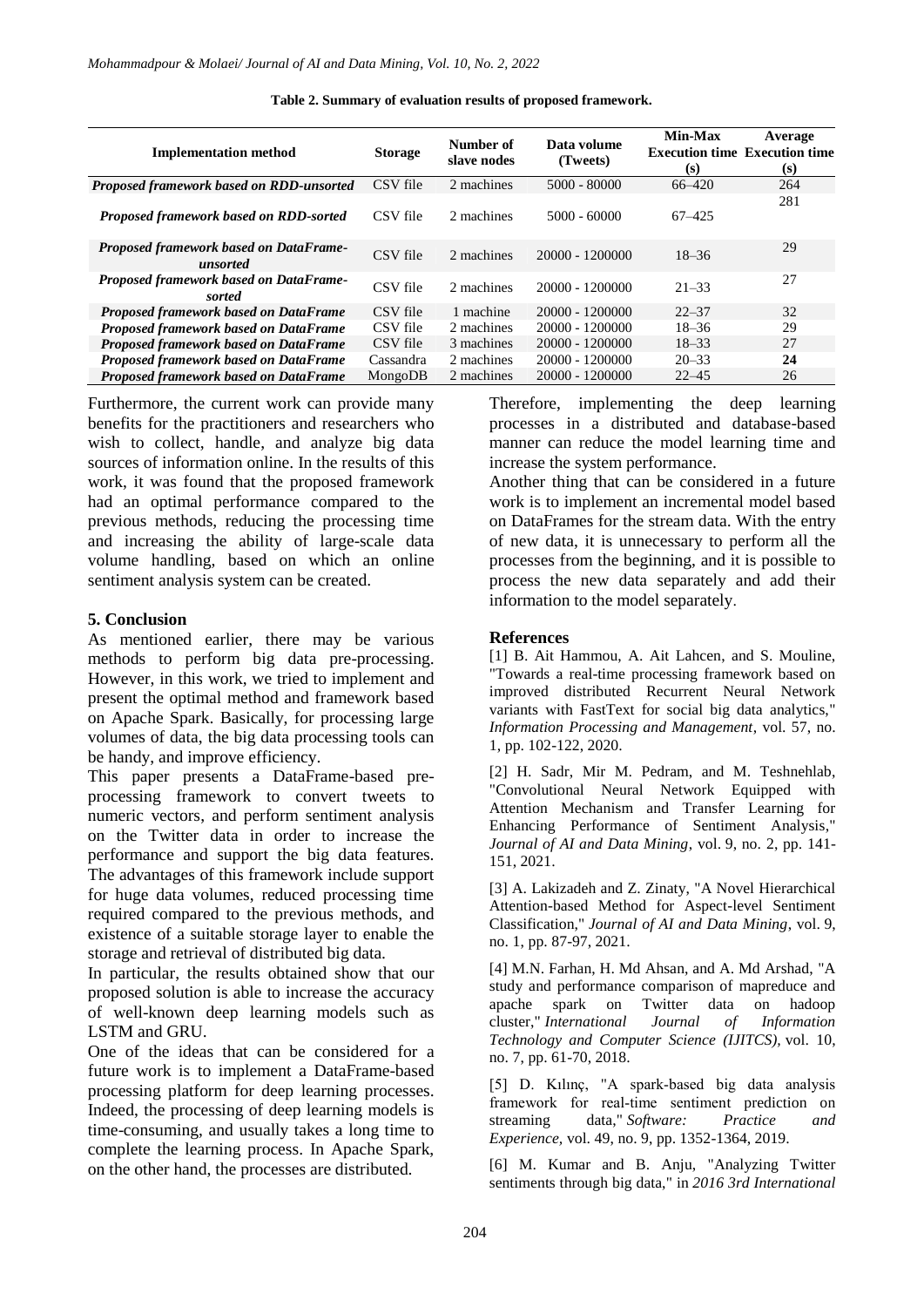| <b>Implementation method</b>                       | <b>Storage</b> | Number of<br>slave nodes | Data volume<br>(Tweets) | Min-Max<br>(s) | Average<br><b>Execution time Execution time</b><br>(s) |
|----------------------------------------------------|----------------|--------------------------|-------------------------|----------------|--------------------------------------------------------|
| Proposed framework based on RDD-unsorted           | CSV file       | 2 machines               | $5000 - 80000$          | $66 - 420$     | 264                                                    |
| Proposed framework based on RDD-sorted             | CSV file       | 2 machines               | $5000 - 60000$          | $67 - 425$     | 281                                                    |
| Proposed framework based on DataFrame-<br>unsorted | CSV file       | 2 machines               | 20000 - 1200000         | $18 - 36$      | 29                                                     |
| Proposed framework based on DataFrame-<br>sorted   | CSV file       | 2 machines               | 20000 - 1200000         | $21 - 33$      | 27                                                     |
| <b>Proposed framework based on DataFrame</b>       | CSV file       | 1 machine                | 20000 - 1200000         | $22 - 37$      | 32                                                     |
| <b>Proposed framework based on DataFrame</b>       | CSV file       | 2 machines               | 20000 - 1200000         | $18 - 36$      | 29                                                     |
| Proposed framework based on DataFrame              | CSV file       | 3 machines               | 20000 - 1200000         | $18 - 33$      | 27                                                     |
| Proposed framework based on DataFrame              | Cassandra      | 2 machines               | 20000 - 1200000         | $20 - 33$      | 24                                                     |
| Proposed framework based on DataFrame              | MongoDB        | 2 machines               | 20000 - 1200000         | $22 - 45$      | 26                                                     |

**Table 2. Summary of evaluation results of proposed framework.**

Furthermore, the current work can provide many benefits for the practitioners and researchers who wish to collect, handle, and analyze big data sources of information online. In the results of this work, it was found that the proposed framework had an optimal performance compared to the previous methods, reducing the processing time and increasing the ability of large-scale data volume handling, based on which an online sentiment analysis system can be created.

#### **5. Conclusion**

As mentioned earlier, there may be various methods to perform big data pre-processing. However, in this work, we tried to implement and present the optimal method and framework based on Apache Spark. Basically, for processing large volumes of data, the big data processing tools can be handy, and improve efficiency.

This paper presents a DataFrame-based preprocessing framework to convert tweets to numeric vectors, and perform sentiment analysis on the Twitter data in order to increase the performance and support the big data features. The advantages of this framework include support for huge data volumes, reduced processing time required compared to the previous methods, and existence of a suitable storage layer to enable the storage and retrieval of distributed big data.

In particular, the results obtained show that our proposed solution is able to increase the accuracy of well-known deep learning models such as LSTM and GRU.

One of the ideas that can be considered for a future work is to implement a DataFrame-based processing platform for deep learning processes. Indeed, the processing of deep learning models is time-consuming, and usually takes a long time to complete the learning process. In Apache Spark, on the other hand, the processes are distributed.

Therefore, implementing the deep learning processes in a distributed and database-based manner can reduce the model learning time and increase the system performance.

Another thing that can be considered in a future work is to implement an incremental model based on DataFrames for the stream data. With the entry of new data, it is unnecessary to perform all the processes from the beginning, and it is possible to process the new data separately and add their information to the model separately.

#### **References**

[1] B. Ait Hammou, A. Ait Lahcen, and S. Mouline, "Towards a real-time processing framework based on improved distributed Recurrent Neural Network variants with FastText for social big data analytics," *Information Processing and Management*, vol. 57, no. 1, pp. 102-122, 2020.

[2] H. Sadr, Mir M. Pedram, and M. Teshnehlab, "Convolutional Neural Network Equipped with Attention Mechanism and Transfer Learning for Enhancing Performance of Sentiment Analysis," *Journal of AI and Data Mining*, vol. 9, no. 2, pp. 141- 151, 2021.

[3] A. Lakizadeh and Z. Zinaty, "A Novel Hierarchical Attention-based Method for Aspect-level Sentiment Classification," *Journal of AI and Data Mining*, vol. 9, no. 1, pp. 87-97, 2021.

[4] M.N. Farhan, H. Md Ahsan, and A. Md Arshad, "A study and performance comparison of mapreduce and apache spark on Twitter data on hadoop cluster," *International Journal of Information Technology and Computer Science (IJITCS),* vol. 10, no. 7, pp. 61-70, 2018.

[5] D. Kılınç, "A spark‐based big data analysis framework for real-time sentiment prediction on streaming data," *Software: Practice and Experience,* vol. 49, no. 9, pp. 1352-1364, 2019.

[6] M. Kumar and B. Anju, "Analyzing Twitter sentiments through big data," in *2016 3rd International*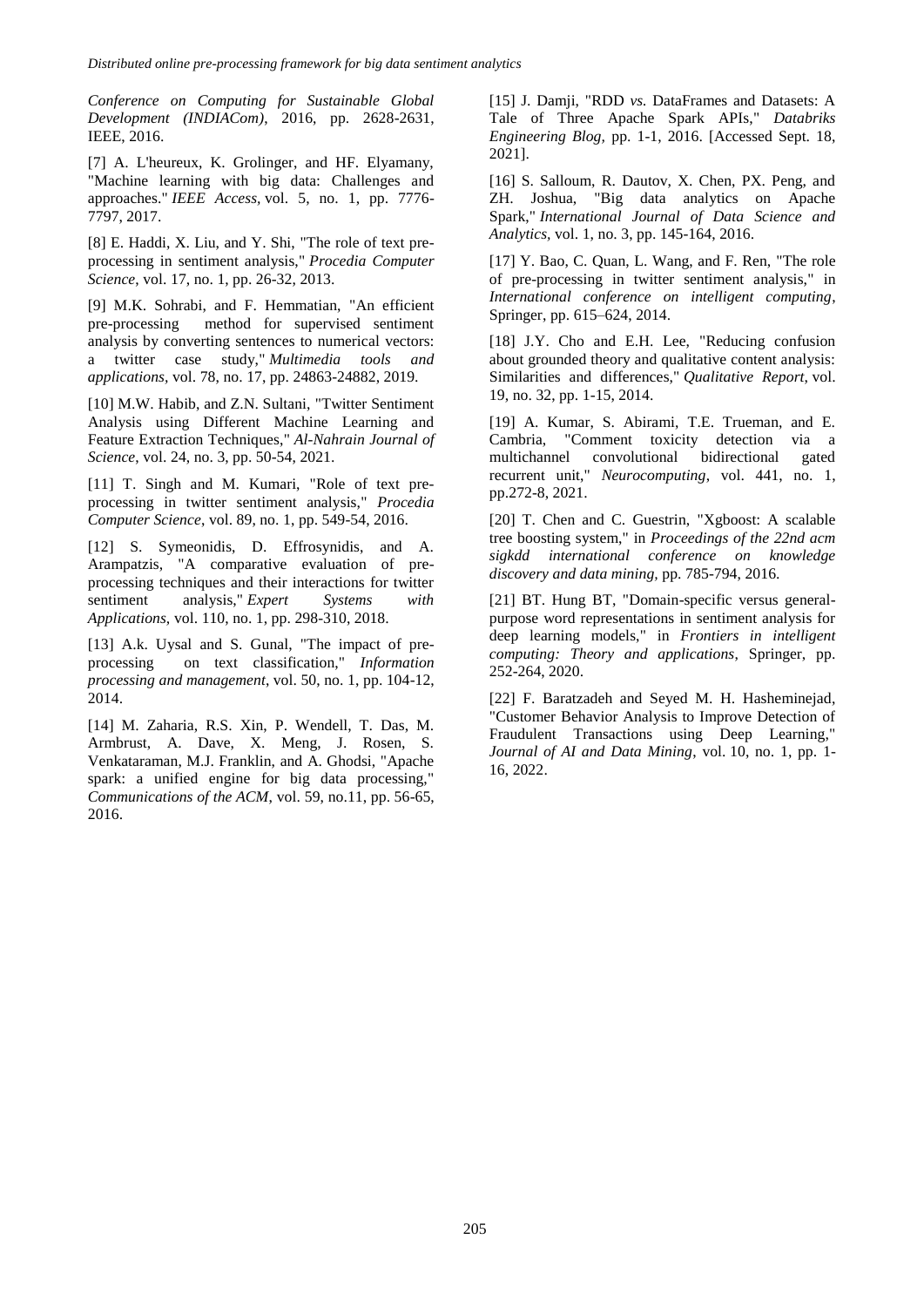*Conference on Computing for Sustainable Global Development (INDIACom)*, 2016, pp. 2628-2631, IEEE, 2016.

[7] A. L'heureux, K. Grolinger, and HF. Elyamany, "Machine learning with big data: Challenges and approaches." *IEEE Access,* vol. 5, no. 1, pp. 7776- 7797, 2017.

[8] E. Haddi, X. Liu, and Y. Shi, "The role of text preprocessing in sentiment analysis," *Procedia Computer Science*, vol. 17, no. 1, pp. 26-32, 2013.

[9] M.K. Sohrabi, and F. Hemmatian, "An efficient pre-processing method for supervised sentiment analysis by converting sentences to numerical vectors: a twitter case study," *Multimedia tools and applications,* vol. 78, no. 17, pp. 24863-24882, 2019.

[10] M.W. Habib, and Z.N. Sultani, "Twitter Sentiment Analysis using Different Machine Learning and Feature Extraction Techniques," *Al-Nahrain Journal of Science*, vol. 24, no. 3, pp. 50-54, 2021.

[11] T. Singh and M. Kumari, "Role of text preprocessing in twitter sentiment analysis," *Procedia Computer Science*, vol. 89, no. 1, pp. 549-54, 2016.

[12] S. Symeonidis, D. Effrosynidis, and A. Arampatzis, "A comparative evaluation of preprocessing techniques and their interactions for twitter sentiment analysis," *Expert Systems with Applications,* vol. 110, no. 1, pp. 298-310, 2018.

[13] A.k. Uysal and S. Gunal, "The impact of preprocessing on text classification," *Information processing and management*, vol. 50, no. 1, pp. 104-12, 2014.

[14] M. Zaharia, R.S. Xin, P. Wendell, T. Das, M. Armbrust, A. Dave, X. Meng, J. Rosen, S. Venkataraman, M.J. Franklin, and A. Ghodsi, "Apache spark: a unified engine for big data processing," *Communications of the ACM*, vol. 59, no.11, pp. 56-65, 2016.

[15] J. Damji, "RDD *vs.* DataFrames and Datasets: A Tale of Three Apache Spark APIs," *Databriks Engineering Blog,* pp. 1-1, 2016. [Accessed Sept. 18, 2021].

[16] S. Salloum, R. Dautov, X. Chen, PX. Peng, and ZH. Joshua, "Big data analytics on Apache Spark," *International Journal of Data Science and Analytics,* vol. 1, no. 3, pp. 145-164, 2016.

[17] Y. Bao, C. Quan, L. Wang, and F. Ren, "The role of pre-processing in twitter sentiment analysis," in *International conference on intelligent computing*, Springer, pp. 615–624, 2014.

[18] J.Y. Cho and E.H. Lee, "Reducing confusion about grounded theory and qualitative content analysis: Similarities and differences," *Qualitative Report*, vol. 19, no. 32, pp. 1-15, 2014.

[19] A. Kumar, S. Abirami, T.E. Trueman, and E. Cambria, "Comment toxicity detection via a multichannel convolutional bidirectional gated recurrent unit," *Neurocomputing*, vol. 441, no. 1, pp.272-8, 2021.

[20] T. Chen and C. Guestrin, "Xgboost: A scalable tree boosting system," in *Proceedings of the 22nd acm sigkdd international conference on knowledge discovery and data mining,* pp. 785-794, 2016.

[21] BT. Hung BT, "Domain-specific versus generalpurpose word representations in sentiment analysis for deep learning models," in *Frontiers in intelligent computing: Theory and applications*, Springer, pp. 252-264, 2020.

[22] F. Baratzadeh and Seyed M. H. Hasheminejad, "Customer Behavior Analysis to Improve Detection of Fraudulent Transactions using Deep Learning," *Journal of AI and Data Mining*, vol. 10, no. 1, pp. 1- 16, 2022.